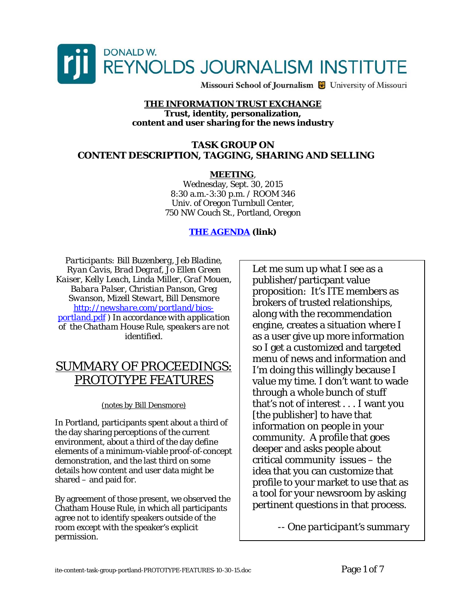

Missouri School of Journalism & University of Missouri

## **THE INFORMATION TRUST EXCHANGE Trust, identity, personalization, content and user sharing for the news industry**

## **TASK GROUP ON CONTENT DESCRIPTION, TAGGING, SHARING AND SELLING**

## **MEETING**,

Wednesday, Sept. 30, 2015 8:30 a.m.-3:30 p.m. / ROOM 346 Univ. of Oregon Turnbull Center, 750 NW Couch St., Portland, Oregon

## **[THE AGENDA](http://newshare.com/portland/AGENDA-ite-task-group-content-portland.pdf) (link)**

*Participants: Bill Buzenberg, Jeb Bladine, Ryan Cavis, Brad Degraf, Jo Ellen Green Kaiser, Kelly Leach, Linda Miller, Graf Mouen, Babara Palser, Christian Panson, Greg Swanson, Mizell Stewart, Bill Densmore [http://newshare.com/portland/bios](http://newshare.com/portland/bios-portland.pdf)[portland.pdf](http://newshare.com/portland/bios-portland.pdf) ) In accordance with application of the Chatham House Rule, speakers are not identified.* 

## SUMMARY OF PROCEEDINGS: PROTOTYPE FEATURES

## *(notes by Bill Densmore)*

In Portland, participants spent about a third of the day sharing perceptions of the current environment, about a third of the day define elements of a minimum-viable proof-of-concept demonstration, and the last third on some details how content and user data might be shared – and paid for.

By agreement of those present, we observed the Chatham House Rule, in which all participants agree not to identify speakers outside of the room except with the speaker's explicit permission.

Let me sum up what I see as a publisher/particpant value proposition: It's ITE members as brokers of trusted relationships, along with the recommendation engine, creates a situation where I as a user give up more information so I get a customized and targeted menu of news and information and I'm doing this willingly because I value my time. I don't want to wade through a whole bunch of stuff that's not of interest . . . I want you [the publisher] to have that information on people in your community. A profile that goes deeper and asks people about critical community issues – the idea that you can customize that profile to your market to use that as a tool for your newsroom by asking pertinent questions in that process.

*-- One participant's summary*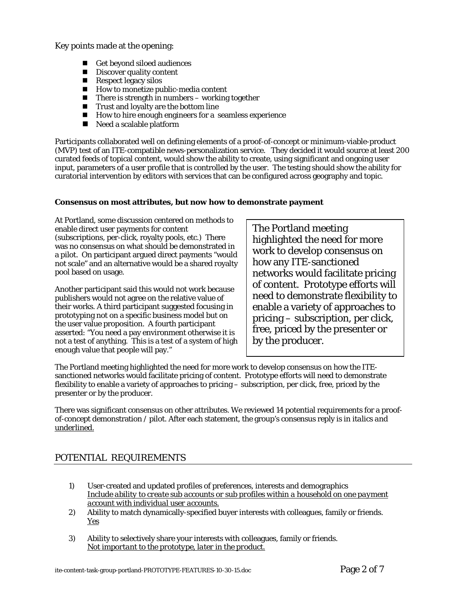Key points made at the opening:

- Get beyond siloed audiences
- $\blacksquare$  Discover quality content
- $Respect$  legacy silos
- $\blacksquare$  How to monetize public-media content
- $\blacksquare$  There is strength in numbers working together
- $\blacksquare$  Trust and loyalty are the bottom line
- **How to hire enough engineers for a seamless experience**
- Need a scalable platform

Participants collaborated well on defining elements of a proof-of-concept or minimum-viable-product (MVP) test of an ITE-compatible news-personalization service. They decided it would source at least 200 curated feeds of topical content, would show the ability to create, using significant and ongoing user input, parameters of a user profile that is controlled by the user. The testing should show the ability for curatorial intervention by editors with services that can be configured across geography and topic.

#### **Consensus on most attributes, but now how to demonstrate payment**

At Portland, some discussion centered on methods to enable direct user payments for content (subscriptions, per-click, royalty pools, etc.) There was no consensus on what should be demonstrated in a pilot. On participant argued direct payments "would not scale" and an alternative would be a shared royalty pool based on usage.

Another participant said this would not work because publishers would not agree on the relative value of their works. A third participant suggested focusing in prototyping not on a specific business model but on the user value proposition. A fourth participant asserted: "You need a pay environment otherwise it is not a test of anything. This is a test of a system of high enough value that people will pay."

The Portland meeting highlighted the need for more work to develop consensus on how any ITE-sanctioned networks would facilitate pricing of content. Prototype efforts will need to demonstrate flexibility to enable a variety of approaches to pricing – subscription, per click, free, priced by the presenter or by the producer.

The Portland meeting highlighted the need for more work to develop consensus on how the ITEsanctioned networks would facilitate pricing of content. Prototype efforts will need to demonstrate flexibility to enable a variety of approaches to pricing – subscription, per click, free, priced by the presenter or by the producer.

There was significant consensus on other attributes. We reviewed 14 potential requirements for a proofof-concept demonstration / pilot. After each statement, the group's consensus reply is in *italics and underlined.*

## POTENTIAL REQUIREMENTS

- 1) User-created and updated profiles of preferences, interests and demographics *Include ability to create sub accounts or sub profiles within a household on one payment account with individual user accounts.*
- *2)* Ability to match dynamically-specified buyer interests with colleagues, family or friends. *Yes*
- 3) Ability to selectively share your interests with colleagues, family or friends. *Not important to the prototype, later in the product.*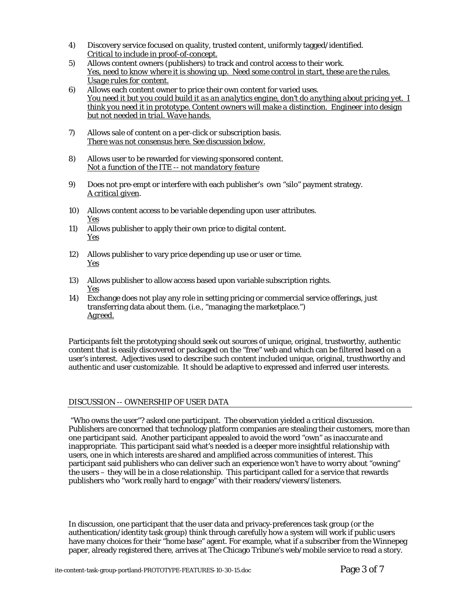- 4) Discovery service focused on quality, trusted content, uniformly tagged/identified. *Critical to include in proof-of-concept.*
- 5) Allows content owners (publishers) to track and control access to their work. *Yes, need to know where it is showing up. Need some control in start, these are the rules. Usage rules for content.*
- *6)* Allows each content owner to price their own content for varied uses. *You need it but you could build it as an analytics engine, don't do anything about pricing yet. I think you need it in prototype. Content owners will make a distinction. Engineer into design but not needed in trial. Wave hands.*
- 7) Allows sale of content on a per-click or subscription basis. *There was not consensus here. See discussion below.*
- 8) Allows user to be rewarded for viewing sponsored content. *Not a function of the ITE -- not mandatory feature*
- 9) Does not pre-empt or interfere with each publisher's own "silo" payment strategy. *A critical given*.
- 10) Allows content access to be variable depending upon user attributes. *Yes*
- 11) Allows publisher to apply their own price to digital content. *Yes*
- 12) Allows publisher to vary price depending up use or user or time. *Yes*
- 13) Allows publisher to allow access based upon variable subscription rights. *Yes*
- 14) Exchange does not play any role in setting pricing or commercial service offerings, just transferring data about them. (i.e., "managing the marketplace.") *Agreed.*

Participants felt the prototyping should seek out sources of unique, original, trustworthy, authentic content that is easily discovered or packaged on the "free" web and which can be filtered based on a user's interest. Adjectives used to describe such content included unique, original, trusthworthy and authentic and user customizable. It should be adaptive to expressed and inferred user interests.

#### DISCUSSION -- OWNERSHIP OF USER DATA

 "Who owns the user"? asked one participant. The observation yielded a critical discussion. Publishers are concerned that technology platform companies are stealing their customers, more than one participant said. Another participant appealed to avoid the word "own" as inaccurate and inappropriate. This participant said what's needed is a deeper more insightful relationship with users, one in which interests are shared and amplified across communities of interest. This participant said publishers who can deliver such an experience won't have to worry about "owning" the users – they will be in a close relationship. This participant called for a service that rewards publishers who "work really hard to engage" with their readers/viewers/listeners.

In discussion, one participant that the user data and privacy-preferences task group (or the authentication/identity task group) think through carefully how a system will work if public users have many choices for their "home base" agent. For example, what if a subscriber from the Winnepeg paper, already registered there, arrives at The Chicago Tribune's web/mobile service to read a story.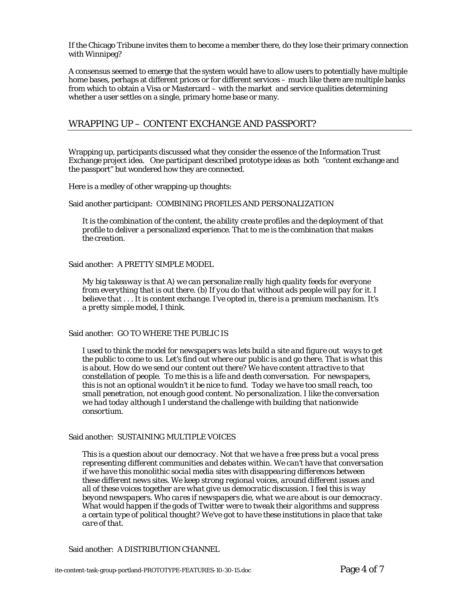If the Chicago Tribune invites them to become a member there, do they lose their primary connection with Winnipeg?

A consensus seemed to emerge that the system would have to allow users to potentially have multiple home bases, perhaps at different prices or for different services – much like there are multiple banks from which to obtain a Visa or Mastercard – with the market and service qualities determining whether a user settles on a single, primary home base or many.

## WRAPPING UP – CONTENT EXCHANGE AND PASSPORT?

Wrapping up, participants discussed what they consider the essence of the Information Trust Exchange project idea. One participant described prototype ideas as both "content exchange and the passport" but wondered how they are connected.

Here is a medley of other wrapping-up thoughts:

#### Said another participant: COMBINING PROFILES AND PERSONALIZATION

*It is the combination of the content, the ability create profiles and the deployment of that profile to deliver a personalized experience. That to me is the combination that makes the creation.* 

#### Said another: A PRETTY SIMPLE MODEL

*My big takeaway is that A) we can personalize really high quality feeds for everyone from everything that is out there. (b) If you do that without ads people will pay for it. I believe that . . . It is content exchange. I've opted in, there is a premium mechanism. It's a pretty simple model, I think.* 

#### Said another: GO TO WHERE THE PUBLIC IS

*I used to think the model for newspapers was lets build a site and figure out ways to get the public to come to us. Let's find out where our public is and go there. That is what this is about. How do we send our content out there? We have content attractive to that constellation of people. To me this is a life and death conversation. For newspapers, this is not an optional wouldn't it be nice to fund. Today we have too small reach, too small penetration, not enough good content. No personalization. I like the conversation we had today although I understand the challenge with building that nationwide consortium.* 

#### Said another: SUSTAINING MULTIPLE VOICES

*This is a question about our democracy. Not that we have a free press but a vocal press representing different communities and debates within. We can't have that conversation if we have this monolithic social media sites with disappearing differences between these different news sites. We keep strong regional voices, around different issues and all of these voices together are what give us democratic discussion. I feel this is way beyond newspapers. Who cares if newspapers die, what we are about is our democracy. What would happen if the gods of Twitter were to tweak their algorithms and suppress a certain type of political thought? We've got to have these institutions in place that take care of that.* 

Said another: A DISTRIBUTION CHANNEL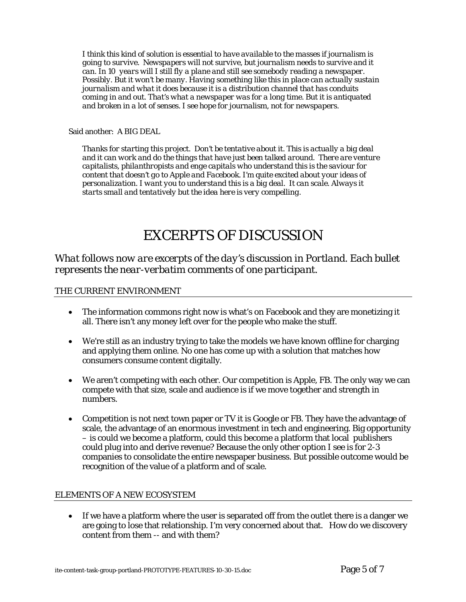*I think this kind of solution is essential to have available to the masses if journalism is going to survive. Newspapers will not survive, but journalism needs to survive and it can. In 10 years will I still fly a plane and still see somebody reading a newspaper. Possibly. But it won't be many. Having something like this in place can actually sustain journalism and what it does because it is a distribution channel that has conduits coming in and out. That's what a newspaper was for a long time. But it is antiquated and broken in a lot of senses. I see hope for journalism, not for newspapers.* 

#### Said another: A BIG DEAL

*Thanks for starting this project. Don't be tentative about it. This is actually a big deal and it can work and do the things that have just been talked around. There are venture capitalists, philanthropists and enge capitals who understand this is the saviour for content that doesn't go to Apple and Facebook. I'm quite excited about your ideas of personalization. I want you to understand this is a big deal. It can scale. Always it starts small and tentatively but the idea here is very compelling.* 

# EXCERPTS OF DISCUSSION

*What follows now are excerpts of the day's discussion in Portland. Each bullet represents the near-verbatim comments of one participant.* 

#### THE CURRENT ENVIRONMENT

- The information commons right now is what's on Facebook and they are monetizing it all. There isn't any money left over for the people who make the stuff.
- We're still as an industry trying to take the models we have known offline for charging and applying them online. No one has come up with a solution that matches how consumers consume content digitally.
- We aren't competing with each other. Our competition is Apple, FB. The only way we can compete with that size, scale and audience is if we move together and strength in numbers.
- Competition is not next town paper or TV it is Google or FB. They have the advantage of scale, the advantage of an enormous investment in tech and engineering. Big opportunity – is could we become a platform, could this become a platform that local publishers could plug into and derive revenue? Because the only other option I see is for 2-3 companies to consolidate the entire newspaper business. But possible outcome would be recognition of the value of a platform and of scale.

#### ELEMENTS OF A NEW ECOSYSTEM

• If we have a platform where the user is separated off from the outlet there is a danger we are going to lose that relationship. I'm very concerned about that. How do we discovery content from them -- and with them?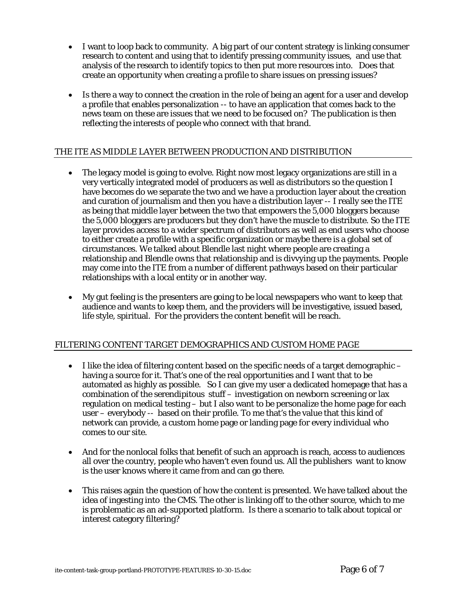- I want to loop back to community. A big part of our content strategy is linking consumer research to content and using that to identify pressing community issues, and use that analysis of the research to identify topics to then put more resources into. Does that create an opportunity when creating a profile to share issues on pressing issues?
- Is there a way to connect the creation in the role of being an agent for a user and develop a profile that enables personalization -- to have an application that comes back to the news team on these are issues that we need to be focused on? The publication is then reflecting the interests of people who connect with that brand.

## THE ITE AS MIDDLE LAYER BETWEEN PRODUCTION AND DISTRIBUTION

- The legacy model is going to evolve. Right now most legacy organizations are still in a very vertically integrated model of producers as well as distributors so the question I have becomes do we separate the two and we have a production layer about the creation and curation of journalism and then you have a distribution layer -- I really see the ITE as being that middle layer between the two that empowers the 5,000 bloggers because the 5,000 bloggers are producers but they don't have the muscle to distribute. So the ITE layer provides access to a wider spectrum of distributors as well as end users who choose to either create a profile with a specific organization or maybe there is a global set of circumstances. We talked about Blendle last night where people are creating a relationship and Blendle owns that relationship and is divvying up the payments. People may come into the ITE from a number of different pathways based on their particular relationships with a local entity or in another way.
- My gut feeling is the presenters are going to be local newspapers who want to keep that audience and wants to keep them, and the providers will be investigative, issued based, life style, spiritual. For the providers the content benefit will be reach.

## FILTERING CONTENT TARGET DEMOGRAPHICS AND CUSTOM HOME PAGE

- $\bullet$  I like the idea of filtering content based on the specific needs of a target demographic  $$ having a source for it. That's one of the real opportunities and I want that to be automated as highly as possible. So I can give my user a dedicated homepage that has a combination of the serendipitous stuff – investigation on newborn screening or lax regulation on medical testing – but I also want to be personalize the home page for each user – everybody -- based on their profile. To me that's the value that this kind of network can provide, a custom home page or landing page for every individual who comes to our site.
- And for the nonlocal folks that benefit of such an approach is reach, access to audiences all over the country, people who haven't even found us. All the publishers want to know is the user knows where it came from and can go there.
- This raises again the question of how the content is presented. We have talked about the idea of ingesting into the CMS. The other is linking off to the other source, which to me is problematic as an ad-supported platform. Is there a scenario to talk about topical or interest category filtering?